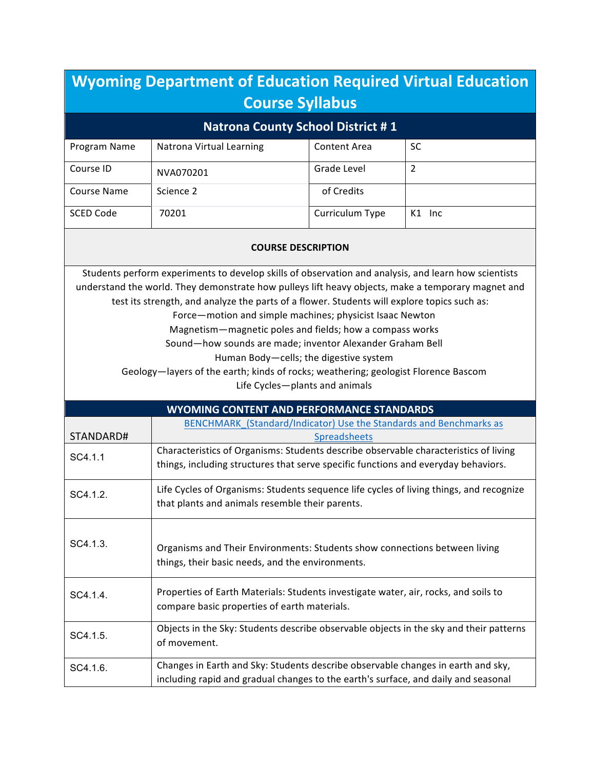| <b>Wyoming Department of Education Required Virtual Education</b><br><b>Course Syllabus</b>                                                                                                                                                                                                                                                                                                                                                                                                                                                                                                                                                                      |                                                                                                                                                                            |                     |        |
|------------------------------------------------------------------------------------------------------------------------------------------------------------------------------------------------------------------------------------------------------------------------------------------------------------------------------------------------------------------------------------------------------------------------------------------------------------------------------------------------------------------------------------------------------------------------------------------------------------------------------------------------------------------|----------------------------------------------------------------------------------------------------------------------------------------------------------------------------|---------------------|--------|
|                                                                                                                                                                                                                                                                                                                                                                                                                                                                                                                                                                                                                                                                  | <b>Natrona County School District #1</b>                                                                                                                                   |                     |        |
| Program Name                                                                                                                                                                                                                                                                                                                                                                                                                                                                                                                                                                                                                                                     | Natrona Virtual Learning                                                                                                                                                   | <b>Content Area</b> | SC     |
| Course ID                                                                                                                                                                                                                                                                                                                                                                                                                                                                                                                                                                                                                                                        | NVA070201                                                                                                                                                                  | Grade Level         | 2      |
| Course Name                                                                                                                                                                                                                                                                                                                                                                                                                                                                                                                                                                                                                                                      | Science 2                                                                                                                                                                  | of Credits          |        |
| <b>SCED Code</b>                                                                                                                                                                                                                                                                                                                                                                                                                                                                                                                                                                                                                                                 | 70201                                                                                                                                                                      | Curriculum Type     | K1 Inc |
| <b>COURSE DESCRIPTION</b>                                                                                                                                                                                                                                                                                                                                                                                                                                                                                                                                                                                                                                        |                                                                                                                                                                            |                     |        |
| Students perform experiments to develop skills of observation and analysis, and learn how scientists<br>understand the world. They demonstrate how pulleys lift heavy objects, make a temporary magnet and<br>test its strength, and analyze the parts of a flower. Students will explore topics such as:<br>Force-motion and simple machines; physicist Isaac Newton<br>Magnetism-magnetic poles and fields; how a compass works<br>Sound-how sounds are made; inventor Alexander Graham Bell<br>Human Body-cells; the digestive system<br>Geology-layers of the earth; kinds of rocks; weathering; geologist Florence Bascom<br>Life Cycles-plants and animals |                                                                                                                                                                            |                     |        |
|                                                                                                                                                                                                                                                                                                                                                                                                                                                                                                                                                                                                                                                                  | <b>WYOMING CONTENT AND PERFORMANCE STANDARDS</b>                                                                                                                           |                     |        |
| STANDARD#                                                                                                                                                                                                                                                                                                                                                                                                                                                                                                                                                                                                                                                        | BENCHMARK_(Standard/Indicator) Use the Standards and Benchmarks as                                                                                                         | <b>Spreadsheets</b> |        |
| SC4.1.1                                                                                                                                                                                                                                                                                                                                                                                                                                                                                                                                                                                                                                                          | Characteristics of Organisms: Students describe observable characteristics of living<br>things, including structures that serve specific functions and everyday behaviors. |                     |        |
| SC4.1.2.                                                                                                                                                                                                                                                                                                                                                                                                                                                                                                                                                                                                                                                         | Life Cycles of Organisms: Students sequence life cycles of living things, and recognize<br>that plants and animals resemble their parents.                                 |                     |        |
| SC4.1.3.<br>Organisms and Their Environments: Students show connections between living<br>things, their basic needs, and the environments.                                                                                                                                                                                                                                                                                                                                                                                                                                                                                                                       |                                                                                                                                                                            |                     |        |
| SC4.1.4.                                                                                                                                                                                                                                                                                                                                                                                                                                                                                                                                                                                                                                                         | Properties of Earth Materials: Students investigate water, air, rocks, and soils to<br>compare basic properties of earth materials.                                        |                     |        |
| SC4.1.5.                                                                                                                                                                                                                                                                                                                                                                                                                                                                                                                                                                                                                                                         | Objects in the Sky: Students describe observable objects in the sky and their patterns<br>of movement.                                                                     |                     |        |
| SC4.1.6.                                                                                                                                                                                                                                                                                                                                                                                                                                                                                                                                                                                                                                                         | Changes in Earth and Sky: Students describe observable changes in earth and sky,<br>including rapid and gradual changes to the earth's surface, and daily and seasonal     |                     |        |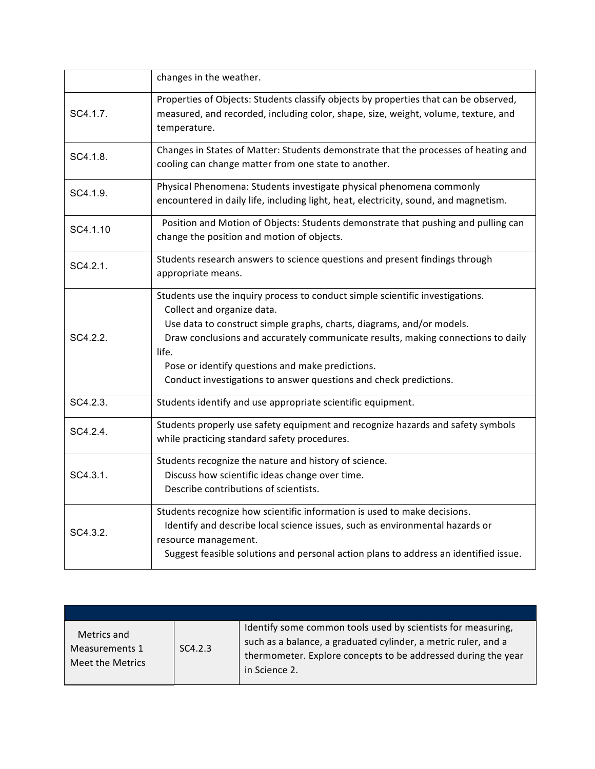|          | changes in the weather.                                                                                                                                                                                                                                                                                                                                                                                    |
|----------|------------------------------------------------------------------------------------------------------------------------------------------------------------------------------------------------------------------------------------------------------------------------------------------------------------------------------------------------------------------------------------------------------------|
| SC4.1.7. | Properties of Objects: Students classify objects by properties that can be observed,<br>measured, and recorded, including color, shape, size, weight, volume, texture, and<br>temperature.                                                                                                                                                                                                                 |
| SC4.1.8. | Changes in States of Matter: Students demonstrate that the processes of heating and<br>cooling can change matter from one state to another.                                                                                                                                                                                                                                                                |
| SC4.1.9. | Physical Phenomena: Students investigate physical phenomena commonly<br>encountered in daily life, including light, heat, electricity, sound, and magnetism.                                                                                                                                                                                                                                               |
| SC4.1.10 | Position and Motion of Objects: Students demonstrate that pushing and pulling can<br>change the position and motion of objects.                                                                                                                                                                                                                                                                            |
| SC4.2.1. | Students research answers to science questions and present findings through<br>appropriate means.                                                                                                                                                                                                                                                                                                          |
| SC4.2.2. | Students use the inquiry process to conduct simple scientific investigations.<br>Collect and organize data.<br>Use data to construct simple graphs, charts, diagrams, and/or models.<br>Draw conclusions and accurately communicate results, making connections to daily<br>life.<br>Pose or identify questions and make predictions.<br>Conduct investigations to answer questions and check predictions. |
| SC4.2.3. | Students identify and use appropriate scientific equipment.                                                                                                                                                                                                                                                                                                                                                |
| SC4.2.4. | Students properly use safety equipment and recognize hazards and safety symbols<br>while practicing standard safety procedures.                                                                                                                                                                                                                                                                            |
| SC4.3.1. | Students recognize the nature and history of science.<br>Discuss how scientific ideas change over time.<br>Describe contributions of scientists.                                                                                                                                                                                                                                                           |
| SC4.3.2. | Students recognize how scientific information is used to make decisions.<br>Identify and describe local science issues, such as environmental hazards or<br>resource management.<br>Suggest feasible solutions and personal action plans to address an identified issue.                                                                                                                                   |

| Metrics and<br>Measurements 1<br>Meet the Metrics | SC4.2.3 | Identify some common tools used by scientists for measuring,<br>such as a balance, a graduated cylinder, a metric ruler, and a<br>thermometer. Explore concepts to be addressed during the year<br>in Science 2. |
|---------------------------------------------------|---------|------------------------------------------------------------------------------------------------------------------------------------------------------------------------------------------------------------------|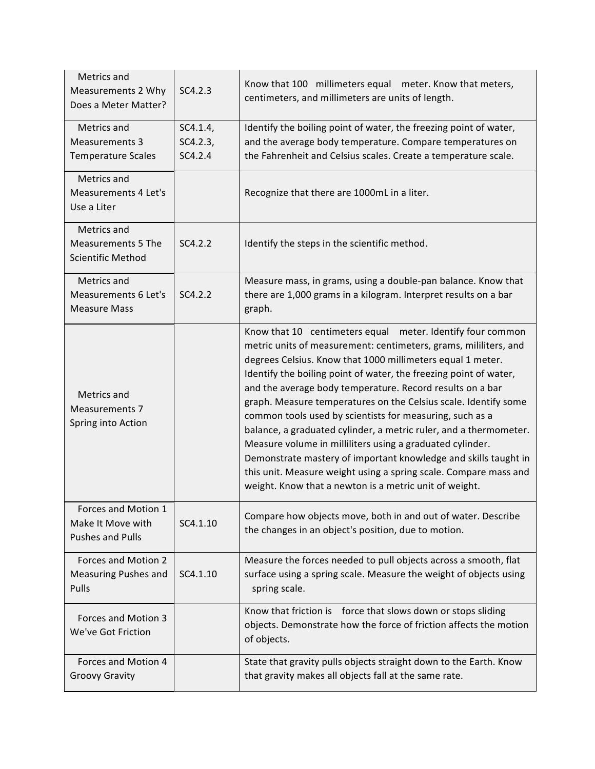| Metrics and<br>Measurements 2 Why<br>Does a Meter Matter?            | SC4.2.3                         | Know that 100 millimeters equal meter. Know that meters,<br>centimeters, and millimeters are units of length.                                                                                                                                                                                                                                                                                                                                                                                                                                                                                                                                                                                                                                                                                    |
|----------------------------------------------------------------------|---------------------------------|--------------------------------------------------------------------------------------------------------------------------------------------------------------------------------------------------------------------------------------------------------------------------------------------------------------------------------------------------------------------------------------------------------------------------------------------------------------------------------------------------------------------------------------------------------------------------------------------------------------------------------------------------------------------------------------------------------------------------------------------------------------------------------------------------|
| Metrics and<br><b>Measurements 3</b><br><b>Temperature Scales</b>    | SC4.1.4,<br>SC4.2.3,<br>SC4.2.4 | Identify the boiling point of water, the freezing point of water,<br>and the average body temperature. Compare temperatures on<br>the Fahrenheit and Celsius scales. Create a temperature scale.                                                                                                                                                                                                                                                                                                                                                                                                                                                                                                                                                                                                 |
| Metrics and<br><b>Measurements 4 Let's</b><br>Use a Liter            |                                 | Recognize that there are 1000mL in a liter.                                                                                                                                                                                                                                                                                                                                                                                                                                                                                                                                                                                                                                                                                                                                                      |
| Metrics and<br><b>Measurements 5 The</b><br><b>Scientific Method</b> | SC4.2.2                         | Identify the steps in the scientific method.                                                                                                                                                                                                                                                                                                                                                                                                                                                                                                                                                                                                                                                                                                                                                     |
| Metrics and<br>Measurements 6 Let's<br><b>Measure Mass</b>           | SC4.2.2                         | Measure mass, in grams, using a double-pan balance. Know that<br>there are 1,000 grams in a kilogram. Interpret results on a bar<br>graph.                                                                                                                                                                                                                                                                                                                                                                                                                                                                                                                                                                                                                                                       |
| Metrics and<br><b>Measurements 7</b><br>Spring into Action           |                                 | Know that 10 centimeters equal meter. Identify four common<br>metric units of measurement: centimeters, grams, mililiters, and<br>degrees Celsius. Know that 1000 millimeters equal 1 meter.<br>Identify the boiling point of water, the freezing point of water,<br>and the average body temperature. Record results on a bar<br>graph. Measure temperatures on the Celsius scale. Identify some<br>common tools used by scientists for measuring, such as a<br>balance, a graduated cylinder, a metric ruler, and a thermometer.<br>Measure volume in milliliters using a graduated cylinder.<br>Demonstrate mastery of important knowledge and skills taught in<br>this unit. Measure weight using a spring scale. Compare mass and<br>weight. Know that a newton is a metric unit of weight. |
| Forces and Motion 1<br>Make It Move with<br><b>Pushes and Pulls</b>  | SC4.1.10                        | Compare how objects move, both in and out of water. Describe<br>the changes in an object's position, due to motion.                                                                                                                                                                                                                                                                                                                                                                                                                                                                                                                                                                                                                                                                              |
| Forces and Motion 2<br><b>Measuring Pushes and</b><br>Pulls          | SC4.1.10                        | Measure the forces needed to pull objects across a smooth, flat<br>surface using a spring scale. Measure the weight of objects using<br>spring scale.                                                                                                                                                                                                                                                                                                                                                                                                                                                                                                                                                                                                                                            |
| Forces and Motion 3<br>We've Got Friction                            |                                 | Know that friction is force that slows down or stops sliding<br>objects. Demonstrate how the force of friction affects the motion<br>of objects.                                                                                                                                                                                                                                                                                                                                                                                                                                                                                                                                                                                                                                                 |
| Forces and Motion 4<br><b>Groovy Gravity</b>                         |                                 | State that gravity pulls objects straight down to the Earth. Know<br>that gravity makes all objects fall at the same rate.                                                                                                                                                                                                                                                                                                                                                                                                                                                                                                                                                                                                                                                                       |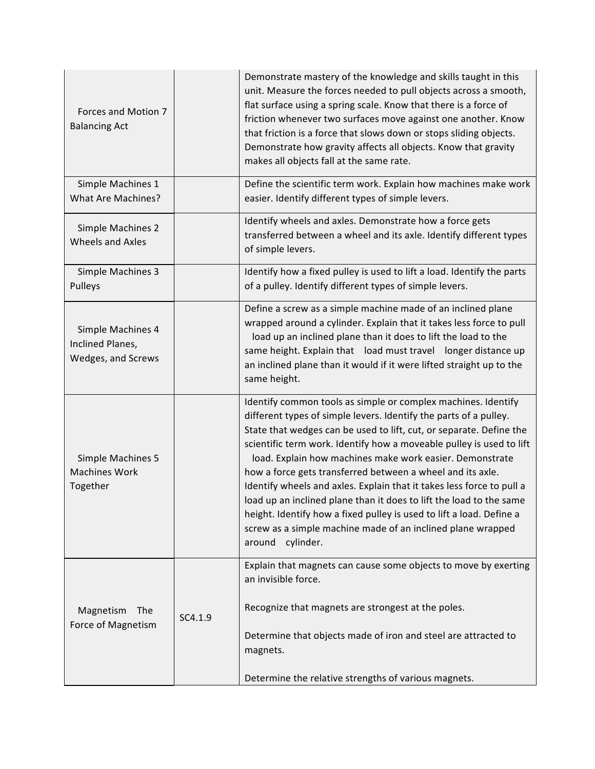| Forces and Motion 7<br><b>Balancing Act</b>                 |         | Demonstrate mastery of the knowledge and skills taught in this<br>unit. Measure the forces needed to pull objects across a smooth,<br>flat surface using a spring scale. Know that there is a force of<br>friction whenever two surfaces move against one another. Know<br>that friction is a force that slows down or stops sliding objects.<br>Demonstrate how gravity affects all objects. Know that gravity<br>makes all objects fall at the same rate.                                                                                                                                                                                                                                                               |
|-------------------------------------------------------------|---------|---------------------------------------------------------------------------------------------------------------------------------------------------------------------------------------------------------------------------------------------------------------------------------------------------------------------------------------------------------------------------------------------------------------------------------------------------------------------------------------------------------------------------------------------------------------------------------------------------------------------------------------------------------------------------------------------------------------------------|
| Simple Machines 1<br>What Are Machines?                     |         | Define the scientific term work. Explain how machines make work<br>easier. Identify different types of simple levers.                                                                                                                                                                                                                                                                                                                                                                                                                                                                                                                                                                                                     |
| Simple Machines 2<br>Wheels and Axles                       |         | Identify wheels and axles. Demonstrate how a force gets<br>transferred between a wheel and its axle. Identify different types<br>of simple levers.                                                                                                                                                                                                                                                                                                                                                                                                                                                                                                                                                                        |
| Simple Machines 3<br>Pulleys                                |         | Identify how a fixed pulley is used to lift a load. Identify the parts<br>of a pulley. Identify different types of simple levers.                                                                                                                                                                                                                                                                                                                                                                                                                                                                                                                                                                                         |
| Simple Machines 4<br>Inclined Planes,<br>Wedges, and Screws |         | Define a screw as a simple machine made of an inclined plane<br>wrapped around a cylinder. Explain that it takes less force to pull<br>load up an inclined plane than it does to lift the load to the<br>same height. Explain that load must travel longer distance up<br>an inclined plane than it would if it were lifted straight up to the<br>same height.                                                                                                                                                                                                                                                                                                                                                            |
| Simple Machines 5<br><b>Machines Work</b><br>Together       |         | Identify common tools as simple or complex machines. Identify<br>different types of simple levers. Identify the parts of a pulley.<br>State that wedges can be used to lift, cut, or separate. Define the<br>scientific term work. Identify how a moveable pulley is used to lift<br>load. Explain how machines make work easier. Demonstrate<br>how a force gets transferred between a wheel and its axle.<br>Identify wheels and axles. Explain that it takes less force to pull a<br>load up an inclined plane than it does to lift the load to the same<br>height. Identify how a fixed pulley is used to lift a load. Define a<br>screw as a simple machine made of an inclined plane wrapped<br>cylinder.<br>around |
| Magnetism<br>The<br>Force of Magnetism                      | SC4.1.9 | Explain that magnets can cause some objects to move by exerting<br>an invisible force.<br>Recognize that magnets are strongest at the poles.<br>Determine that objects made of iron and steel are attracted to<br>magnets.<br>Determine the relative strengths of various magnets.                                                                                                                                                                                                                                                                                                                                                                                                                                        |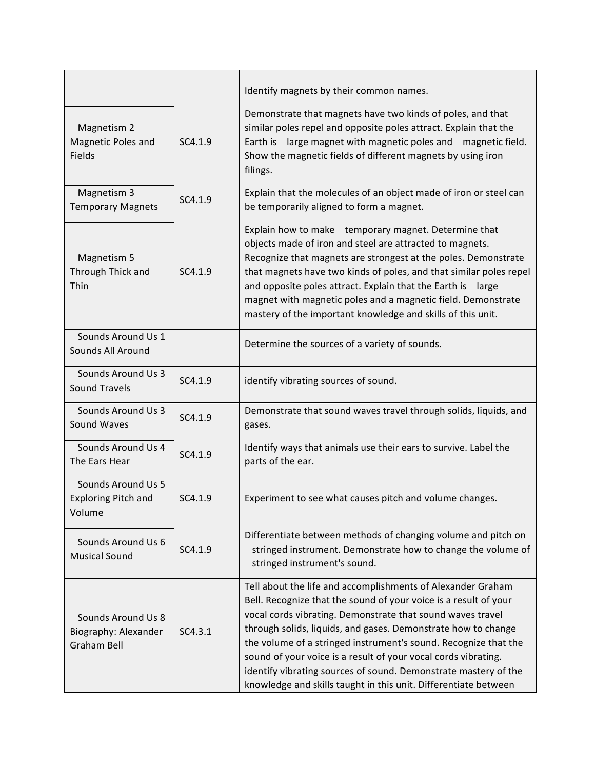|                                                                  |         | Identify magnets by their common names.                                                                                                                                                                                                                                                                                                                                                                                                                                                                                                   |
|------------------------------------------------------------------|---------|-------------------------------------------------------------------------------------------------------------------------------------------------------------------------------------------------------------------------------------------------------------------------------------------------------------------------------------------------------------------------------------------------------------------------------------------------------------------------------------------------------------------------------------------|
| Magnetism 2<br>Magnetic Poles and<br>Fields                      | SC4.1.9 | Demonstrate that magnets have two kinds of poles, and that<br>similar poles repel and opposite poles attract. Explain that the<br>Earth is large magnet with magnetic poles and magnetic field.<br>Show the magnetic fields of different magnets by using iron<br>filings.                                                                                                                                                                                                                                                                |
| Magnetism 3<br><b>Temporary Magnets</b>                          | SC4.1.9 | Explain that the molecules of an object made of iron or steel can<br>be temporarily aligned to form a magnet.                                                                                                                                                                                                                                                                                                                                                                                                                             |
| Magnetism 5<br>Through Thick and<br>Thin                         | SC4.1.9 | Explain how to make temporary magnet. Determine that<br>objects made of iron and steel are attracted to magnets.<br>Recognize that magnets are strongest at the poles. Demonstrate<br>that magnets have two kinds of poles, and that similar poles repel<br>and opposite poles attract. Explain that the Earth is large<br>magnet with magnetic poles and a magnetic field. Demonstrate<br>mastery of the important knowledge and skills of this unit.                                                                                    |
| Sounds Around Us 1<br>Sounds All Around                          |         | Determine the sources of a variety of sounds.                                                                                                                                                                                                                                                                                                                                                                                                                                                                                             |
| Sounds Around Us 3<br><b>Sound Travels</b>                       | SC4.1.9 | identify vibrating sources of sound.                                                                                                                                                                                                                                                                                                                                                                                                                                                                                                      |
| Sounds Around Us 3<br>Sound Waves                                | SC4.1.9 | Demonstrate that sound waves travel through solids, liquids, and<br>gases.                                                                                                                                                                                                                                                                                                                                                                                                                                                                |
| Sounds Around Us 4<br>The Ears Hear                              | SC4.1.9 | Identify ways that animals use their ears to survive. Label the<br>parts of the ear.                                                                                                                                                                                                                                                                                                                                                                                                                                                      |
| Sounds Around Us 5<br><b>Exploring Pitch and</b><br>Volume       | SC4.1.9 | Experiment to see what causes pitch and volume changes.                                                                                                                                                                                                                                                                                                                                                                                                                                                                                   |
| Sounds Around Us 6<br><b>Musical Sound</b>                       | SC4.1.9 | Differentiate between methods of changing volume and pitch on<br>stringed instrument. Demonstrate how to change the volume of<br>stringed instrument's sound.                                                                                                                                                                                                                                                                                                                                                                             |
| Sounds Around Us 8<br>Biography: Alexander<br><b>Graham Bell</b> | SC4.3.1 | Tell about the life and accomplishments of Alexander Graham<br>Bell. Recognize that the sound of your voice is a result of your<br>vocal cords vibrating. Demonstrate that sound waves travel<br>through solids, liquids, and gases. Demonstrate how to change<br>the volume of a stringed instrument's sound. Recognize that the<br>sound of your voice is a result of your vocal cords vibrating.<br>identify vibrating sources of sound. Demonstrate mastery of the<br>knowledge and skills taught in this unit. Differentiate between |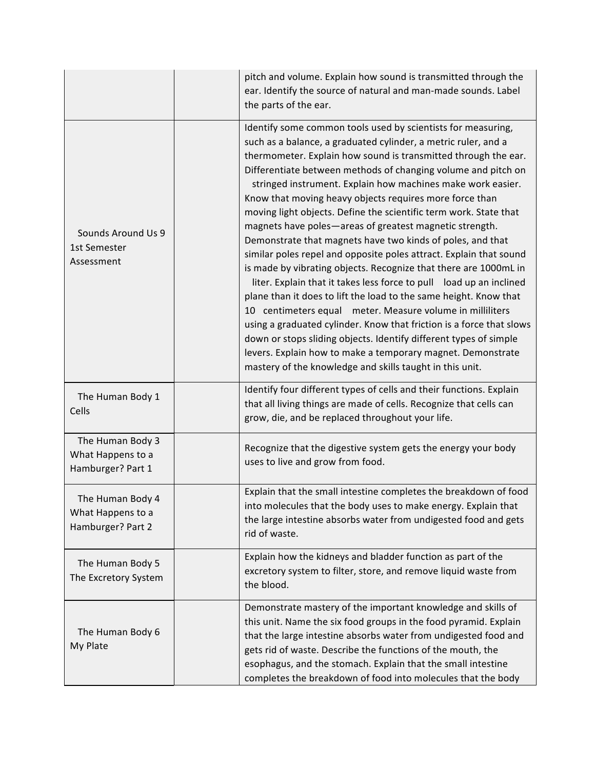|                                                            | pitch and volume. Explain how sound is transmitted through the<br>ear. Identify the source of natural and man-made sounds. Label<br>the parts of the ear.                                                                                                                                                                                                                                                                                                                                                                                                                                                                                                                                                                                                                                                                                                                                                                                                                                                                                                                                                                                                                                                            |
|------------------------------------------------------------|----------------------------------------------------------------------------------------------------------------------------------------------------------------------------------------------------------------------------------------------------------------------------------------------------------------------------------------------------------------------------------------------------------------------------------------------------------------------------------------------------------------------------------------------------------------------------------------------------------------------------------------------------------------------------------------------------------------------------------------------------------------------------------------------------------------------------------------------------------------------------------------------------------------------------------------------------------------------------------------------------------------------------------------------------------------------------------------------------------------------------------------------------------------------------------------------------------------------|
| Sounds Around Us 9<br>1st Semester<br>Assessment           | Identify some common tools used by scientists for measuring,<br>such as a balance, a graduated cylinder, a metric ruler, and a<br>thermometer. Explain how sound is transmitted through the ear.<br>Differentiate between methods of changing volume and pitch on<br>stringed instrument. Explain how machines make work easier.<br>Know that moving heavy objects requires more force than<br>moving light objects. Define the scientific term work. State that<br>magnets have poles-areas of greatest magnetic strength.<br>Demonstrate that magnets have two kinds of poles, and that<br>similar poles repel and opposite poles attract. Explain that sound<br>is made by vibrating objects. Recognize that there are 1000mL in<br>liter. Explain that it takes less force to pull load up an inclined<br>plane than it does to lift the load to the same height. Know that<br>10 centimeters equal meter. Measure volume in milliliters<br>using a graduated cylinder. Know that friction is a force that slows<br>down or stops sliding objects. Identify different types of simple<br>levers. Explain how to make a temporary magnet. Demonstrate<br>mastery of the knowledge and skills taught in this unit. |
| The Human Body 1<br>Cells                                  | Identify four different types of cells and their functions. Explain<br>that all living things are made of cells. Recognize that cells can<br>grow, die, and be replaced throughout your life.                                                                                                                                                                                                                                                                                                                                                                                                                                                                                                                                                                                                                                                                                                                                                                                                                                                                                                                                                                                                                        |
| The Human Body 3<br>What Happens to a<br>Hamburger? Part 1 | Recognize that the digestive system gets the energy your body<br>uses to live and grow from food.                                                                                                                                                                                                                                                                                                                                                                                                                                                                                                                                                                                                                                                                                                                                                                                                                                                                                                                                                                                                                                                                                                                    |
| The Human Body 4<br>What Happens to a<br>Hamburger? Part 2 | Explain that the small intestine completes the breakdown of food<br>into molecules that the body uses to make energy. Explain that<br>the large intestine absorbs water from undigested food and gets<br>rid of waste.                                                                                                                                                                                                                                                                                                                                                                                                                                                                                                                                                                                                                                                                                                                                                                                                                                                                                                                                                                                               |
| The Human Body 5<br>The Excretory System                   | Explain how the kidneys and bladder function as part of the<br>excretory system to filter, store, and remove liquid waste from<br>the blood.                                                                                                                                                                                                                                                                                                                                                                                                                                                                                                                                                                                                                                                                                                                                                                                                                                                                                                                                                                                                                                                                         |
| The Human Body 6<br>My Plate                               | Demonstrate mastery of the important knowledge and skills of<br>this unit. Name the six food groups in the food pyramid. Explain<br>that the large intestine absorbs water from undigested food and<br>gets rid of waste. Describe the functions of the mouth, the<br>esophagus, and the stomach. Explain that the small intestine<br>completes the breakdown of food into molecules that the body                                                                                                                                                                                                                                                                                                                                                                                                                                                                                                                                                                                                                                                                                                                                                                                                                   |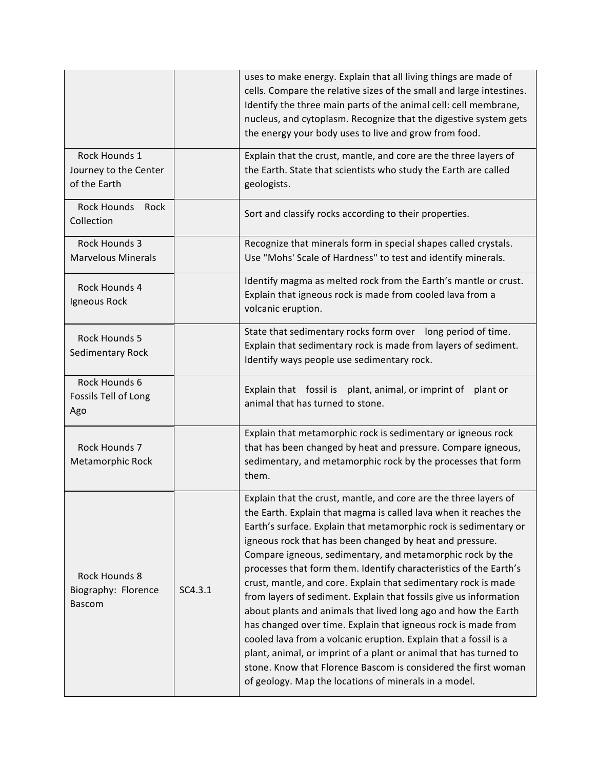|                                                              |         | uses to make energy. Explain that all living things are made of<br>cells. Compare the relative sizes of the small and large intestines.<br>Identify the three main parts of the animal cell: cell membrane,<br>nucleus, and cytoplasm. Recognize that the digestive system gets<br>the energy your body uses to live and grow from food.                                                                                                                                                                                                                                                                                                                                                                                                                                                                                                                                                                                                             |
|--------------------------------------------------------------|---------|------------------------------------------------------------------------------------------------------------------------------------------------------------------------------------------------------------------------------------------------------------------------------------------------------------------------------------------------------------------------------------------------------------------------------------------------------------------------------------------------------------------------------------------------------------------------------------------------------------------------------------------------------------------------------------------------------------------------------------------------------------------------------------------------------------------------------------------------------------------------------------------------------------------------------------------------------|
| Rock Hounds 1<br>Journey to the Center<br>of the Earth       |         | Explain that the crust, mantle, and core are the three layers of<br>the Earth. State that scientists who study the Earth are called<br>geologists.                                                                                                                                                                                                                                                                                                                                                                                                                                                                                                                                                                                                                                                                                                                                                                                                   |
| <b>Rock Hounds</b><br>Rock<br>Collection                     |         | Sort and classify rocks according to their properties.                                                                                                                                                                                                                                                                                                                                                                                                                                                                                                                                                                                                                                                                                                                                                                                                                                                                                               |
| Rock Hounds 3<br><b>Marvelous Minerals</b>                   |         | Recognize that minerals form in special shapes called crystals.<br>Use "Mohs' Scale of Hardness" to test and identify minerals.                                                                                                                                                                                                                                                                                                                                                                                                                                                                                                                                                                                                                                                                                                                                                                                                                      |
| Rock Hounds 4<br>Igneous Rock                                |         | Identify magma as melted rock from the Earth's mantle or crust.<br>Explain that igneous rock is made from cooled lava from a<br>volcanic eruption.                                                                                                                                                                                                                                                                                                                                                                                                                                                                                                                                                                                                                                                                                                                                                                                                   |
| <b>Rock Hounds 5</b><br>Sedimentary Rock                     |         | State that sedimentary rocks form over long period of time.<br>Explain that sedimentary rock is made from layers of sediment.<br>Identify ways people use sedimentary rock.                                                                                                                                                                                                                                                                                                                                                                                                                                                                                                                                                                                                                                                                                                                                                                          |
| Rock Hounds 6<br>Fossils Tell of Long<br>Ago                 |         | Explain that fossil is plant, animal, or imprint of<br>plant or<br>animal that has turned to stone.                                                                                                                                                                                                                                                                                                                                                                                                                                                                                                                                                                                                                                                                                                                                                                                                                                                  |
| Rock Hounds 7<br>Metamorphic Rock                            |         | Explain that metamorphic rock is sedimentary or igneous rock<br>that has been changed by heat and pressure. Compare igneous,<br>sedimentary, and metamorphic rock by the processes that form<br>them.                                                                                                                                                                                                                                                                                                                                                                                                                                                                                                                                                                                                                                                                                                                                                |
| <b>Rock Hounds 8</b><br>Biography: Florence<br><b>Bascom</b> | SC4.3.1 | Explain that the crust, mantle, and core are the three layers of<br>the Earth. Explain that magma is called lava when it reaches the<br>Earth's surface. Explain that metamorphic rock is sedimentary or<br>igneous rock that has been changed by heat and pressure.<br>Compare igneous, sedimentary, and metamorphic rock by the<br>processes that form them. Identify characteristics of the Earth's<br>crust, mantle, and core. Explain that sedimentary rock is made<br>from layers of sediment. Explain that fossils give us information<br>about plants and animals that lived long ago and how the Earth<br>has changed over time. Explain that igneous rock is made from<br>cooled lava from a volcanic eruption. Explain that a fossil is a<br>plant, animal, or imprint of a plant or animal that has turned to<br>stone. Know that Florence Bascom is considered the first woman<br>of geology. Map the locations of minerals in a model. |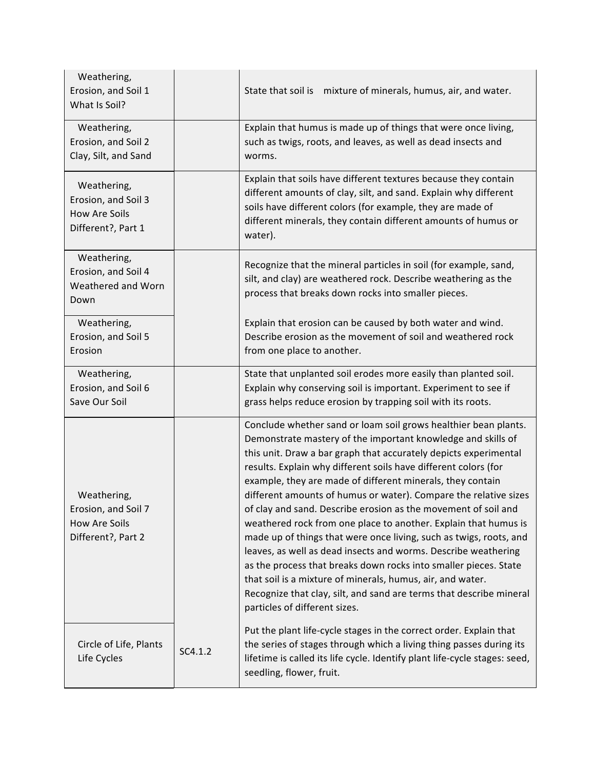| Weathering,<br>Erosion, and Soil 1<br>What Is Soil?                              |         | State that soil is mixture of minerals, humus, air, and water.                                                                                                                                                                                                                                                                                                                                                                                                                                                                                                                                                                                                                                                                                                                                                                                                                                                                  |
|----------------------------------------------------------------------------------|---------|---------------------------------------------------------------------------------------------------------------------------------------------------------------------------------------------------------------------------------------------------------------------------------------------------------------------------------------------------------------------------------------------------------------------------------------------------------------------------------------------------------------------------------------------------------------------------------------------------------------------------------------------------------------------------------------------------------------------------------------------------------------------------------------------------------------------------------------------------------------------------------------------------------------------------------|
| Weathering,<br>Erosion, and Soil 2<br>Clay, Silt, and Sand                       |         | Explain that humus is made up of things that were once living,<br>such as twigs, roots, and leaves, as well as dead insects and<br>worms.                                                                                                                                                                                                                                                                                                                                                                                                                                                                                                                                                                                                                                                                                                                                                                                       |
| Weathering,<br>Erosion, and Soil 3<br><b>How Are Soils</b><br>Different?, Part 1 |         | Explain that soils have different textures because they contain<br>different amounts of clay, silt, and sand. Explain why different<br>soils have different colors (for example, they are made of<br>different minerals, they contain different amounts of humus or<br>water).                                                                                                                                                                                                                                                                                                                                                                                                                                                                                                                                                                                                                                                  |
| Weathering,<br>Erosion, and Soil 4<br>Weathered and Worn<br>Down                 |         | Recognize that the mineral particles in soil (for example, sand,<br>silt, and clay) are weathered rock. Describe weathering as the<br>process that breaks down rocks into smaller pieces.                                                                                                                                                                                                                                                                                                                                                                                                                                                                                                                                                                                                                                                                                                                                       |
| Weathering,<br>Erosion, and Soil 5<br>Erosion                                    |         | Explain that erosion can be caused by both water and wind.<br>Describe erosion as the movement of soil and weathered rock<br>from one place to another.                                                                                                                                                                                                                                                                                                                                                                                                                                                                                                                                                                                                                                                                                                                                                                         |
| Weathering,<br>Erosion, and Soil 6<br>Save Our Soil                              |         | State that unplanted soil erodes more easily than planted soil.<br>Explain why conserving soil is important. Experiment to see if<br>grass helps reduce erosion by trapping soil with its roots.                                                                                                                                                                                                                                                                                                                                                                                                                                                                                                                                                                                                                                                                                                                                |
| Weathering,<br>Erosion, and Soil 7<br>How Are Soils<br>Different?, Part 2        |         | Conclude whether sand or loam soil grows healthier bean plants.<br>Demonstrate mastery of the important knowledge and skills of<br>this unit. Draw a bar graph that accurately depicts experimental<br>results. Explain why different soils have different colors (for<br>example, they are made of different minerals, they contain<br>different amounts of humus or water). Compare the relative sizes<br>of clay and sand. Describe erosion as the movement of soil and<br>weathered rock from one place to another. Explain that humus is<br>made up of things that were once living, such as twigs, roots, and<br>leaves, as well as dead insects and worms. Describe weathering<br>as the process that breaks down rocks into smaller pieces. State<br>that soil is a mixture of minerals, humus, air, and water.<br>Recognize that clay, silt, and sand are terms that describe mineral<br>particles of different sizes. |
| Circle of Life, Plants<br>Life Cycles                                            | SC4.1.2 | Put the plant life-cycle stages in the correct order. Explain that<br>the series of stages through which a living thing passes during its<br>lifetime is called its life cycle. Identify plant life-cycle stages: seed,<br>seedling, flower, fruit.                                                                                                                                                                                                                                                                                                                                                                                                                                                                                                                                                                                                                                                                             |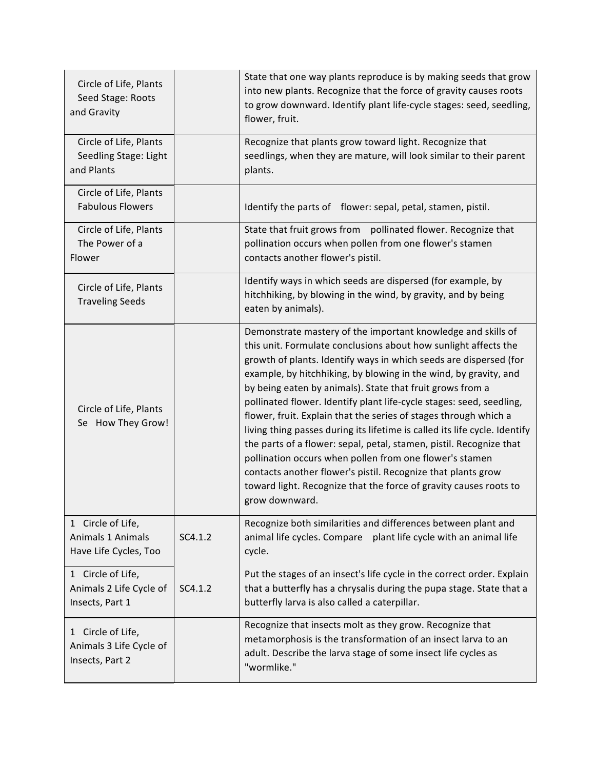| Circle of Life, Plants<br>Seed Stage: Roots<br>and Gravity      |         | State that one way plants reproduce is by making seeds that grow<br>into new plants. Recognize that the force of gravity causes roots<br>to grow downward. Identify plant life-cycle stages: seed, seedling,<br>flower, fruit.                                                                                                                                                                                                                                                                                                                                                                                                                                                                                                                                                                                                                           |
|-----------------------------------------------------------------|---------|----------------------------------------------------------------------------------------------------------------------------------------------------------------------------------------------------------------------------------------------------------------------------------------------------------------------------------------------------------------------------------------------------------------------------------------------------------------------------------------------------------------------------------------------------------------------------------------------------------------------------------------------------------------------------------------------------------------------------------------------------------------------------------------------------------------------------------------------------------|
| Circle of Life, Plants<br>Seedling Stage: Light<br>and Plants   |         | Recognize that plants grow toward light. Recognize that<br>seedlings, when they are mature, will look similar to their parent<br>plants.                                                                                                                                                                                                                                                                                                                                                                                                                                                                                                                                                                                                                                                                                                                 |
| Circle of Life, Plants<br><b>Fabulous Flowers</b>               |         | Identify the parts of flower: sepal, petal, stamen, pistil.                                                                                                                                                                                                                                                                                                                                                                                                                                                                                                                                                                                                                                                                                                                                                                                              |
| Circle of Life, Plants<br>The Power of a<br>Flower              |         | State that fruit grows from pollinated flower. Recognize that<br>pollination occurs when pollen from one flower's stamen<br>contacts another flower's pistil.                                                                                                                                                                                                                                                                                                                                                                                                                                                                                                                                                                                                                                                                                            |
| Circle of Life, Plants<br><b>Traveling Seeds</b>                |         | Identify ways in which seeds are dispersed (for example, by<br>hitchhiking, by blowing in the wind, by gravity, and by being<br>eaten by animals).                                                                                                                                                                                                                                                                                                                                                                                                                                                                                                                                                                                                                                                                                                       |
| Circle of Life, Plants<br>Se How They Grow!                     |         | Demonstrate mastery of the important knowledge and skills of<br>this unit. Formulate conclusions about how sunlight affects the<br>growth of plants. Identify ways in which seeds are dispersed (for<br>example, by hitchhiking, by blowing in the wind, by gravity, and<br>by being eaten by animals). State that fruit grows from a<br>pollinated flower. Identify plant life-cycle stages: seed, seedling,<br>flower, fruit. Explain that the series of stages through which a<br>living thing passes during its lifetime is called its life cycle. Identify<br>the parts of a flower: sepal, petal, stamen, pistil. Recognize that<br>pollination occurs when pollen from one flower's stamen<br>contacts another flower's pistil. Recognize that plants grow<br>toward light. Recognize that the force of gravity causes roots to<br>grow downward. |
| 1 Circle of Life,<br>Animals 1 Animals<br>Have Life Cycles, Too | SC4.1.2 | Recognize both similarities and differences between plant and<br>animal life cycles. Compare plant life cycle with an animal life<br>cycle.                                                                                                                                                                                                                                                                                                                                                                                                                                                                                                                                                                                                                                                                                                              |
| 1 Circle of Life,<br>Animals 2 Life Cycle of<br>Insects, Part 1 | SC4.1.2 | Put the stages of an insect's life cycle in the correct order. Explain<br>that a butterfly has a chrysalis during the pupa stage. State that a<br>butterfly larva is also called a caterpillar.                                                                                                                                                                                                                                                                                                                                                                                                                                                                                                                                                                                                                                                          |
| 1 Circle of Life,<br>Animals 3 Life Cycle of<br>Insects, Part 2 |         | Recognize that insects molt as they grow. Recognize that<br>metamorphosis is the transformation of an insect larva to an<br>adult. Describe the larva stage of some insect life cycles as<br>"wormlike."                                                                                                                                                                                                                                                                                                                                                                                                                                                                                                                                                                                                                                                 |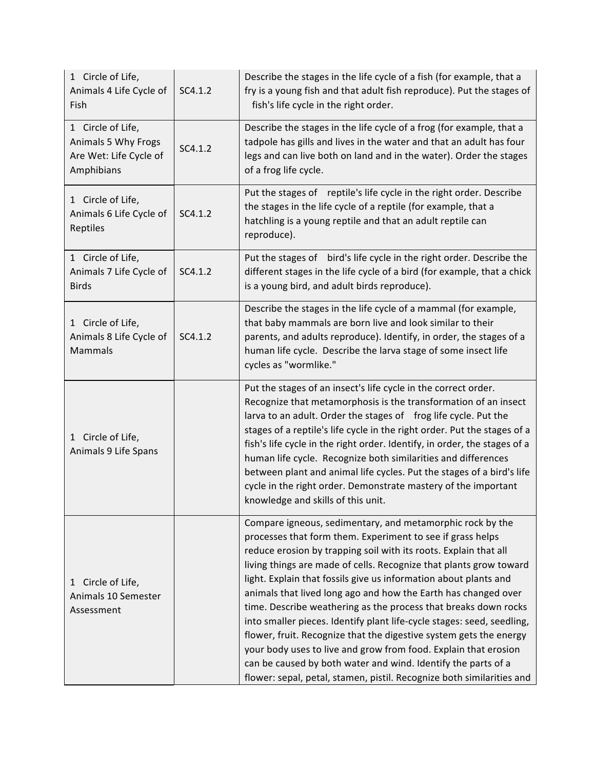| 1 Circle of Life,<br>Animals 4 Life Cycle of<br>Fish                             | SC4.1.2 | Describe the stages in the life cycle of a fish (for example, that a<br>fry is a young fish and that adult fish reproduce). Put the stages of<br>fish's life cycle in the right order.                                                                                                                                                                                                                                                                                                                                                                                                                                                                                                                                                                                                                                                  |
|----------------------------------------------------------------------------------|---------|-----------------------------------------------------------------------------------------------------------------------------------------------------------------------------------------------------------------------------------------------------------------------------------------------------------------------------------------------------------------------------------------------------------------------------------------------------------------------------------------------------------------------------------------------------------------------------------------------------------------------------------------------------------------------------------------------------------------------------------------------------------------------------------------------------------------------------------------|
| 1 Circle of Life,<br>Animals 5 Why Frogs<br>Are Wet: Life Cycle of<br>Amphibians | SC4.1.2 | Describe the stages in the life cycle of a frog (for example, that a<br>tadpole has gills and lives in the water and that an adult has four<br>legs and can live both on land and in the water). Order the stages<br>of a frog life cycle.                                                                                                                                                                                                                                                                                                                                                                                                                                                                                                                                                                                              |
| 1 Circle of Life,<br>Animals 6 Life Cycle of<br>Reptiles                         | SC4.1.2 | Put the stages of reptile's life cycle in the right order. Describe<br>the stages in the life cycle of a reptile (for example, that a<br>hatchling is a young reptile and that an adult reptile can<br>reproduce).                                                                                                                                                                                                                                                                                                                                                                                                                                                                                                                                                                                                                      |
| 1 Circle of Life,<br>Animals 7 Life Cycle of<br><b>Birds</b>                     | SC4.1.2 | Put the stages of bird's life cycle in the right order. Describe the<br>different stages in the life cycle of a bird (for example, that a chick<br>is a young bird, and adult birds reproduce).                                                                                                                                                                                                                                                                                                                                                                                                                                                                                                                                                                                                                                         |
| 1 Circle of Life,<br>Animals 8 Life Cycle of<br><b>Mammals</b>                   | SC4.1.2 | Describe the stages in the life cycle of a mammal (for example,<br>that baby mammals are born live and look similar to their<br>parents, and adults reproduce). Identify, in order, the stages of a<br>human life cycle. Describe the larva stage of some insect life<br>cycles as "wormlike."                                                                                                                                                                                                                                                                                                                                                                                                                                                                                                                                          |
| 1 Circle of Life,<br>Animals 9 Life Spans                                        |         | Put the stages of an insect's life cycle in the correct order.<br>Recognize that metamorphosis is the transformation of an insect<br>larva to an adult. Order the stages of frog life cycle. Put the<br>stages of a reptile's life cycle in the right order. Put the stages of a<br>fish's life cycle in the right order. Identify, in order, the stages of a<br>human life cycle. Recognize both similarities and differences<br>between plant and animal life cycles. Put the stages of a bird's life<br>cycle in the right order. Demonstrate mastery of the important<br>knowledge and skills of this unit.                                                                                                                                                                                                                         |
| 1 Circle of Life,<br>Animals 10 Semester<br>Assessment                           |         | Compare igneous, sedimentary, and metamorphic rock by the<br>processes that form them. Experiment to see if grass helps<br>reduce erosion by trapping soil with its roots. Explain that all<br>living things are made of cells. Recognize that plants grow toward<br>light. Explain that fossils give us information about plants and<br>animals that lived long ago and how the Earth has changed over<br>time. Describe weathering as the process that breaks down rocks<br>into smaller pieces. Identify plant life-cycle stages: seed, seedling,<br>flower, fruit. Recognize that the digestive system gets the energy<br>your body uses to live and grow from food. Explain that erosion<br>can be caused by both water and wind. Identify the parts of a<br>flower: sepal, petal, stamen, pistil. Recognize both similarities and |